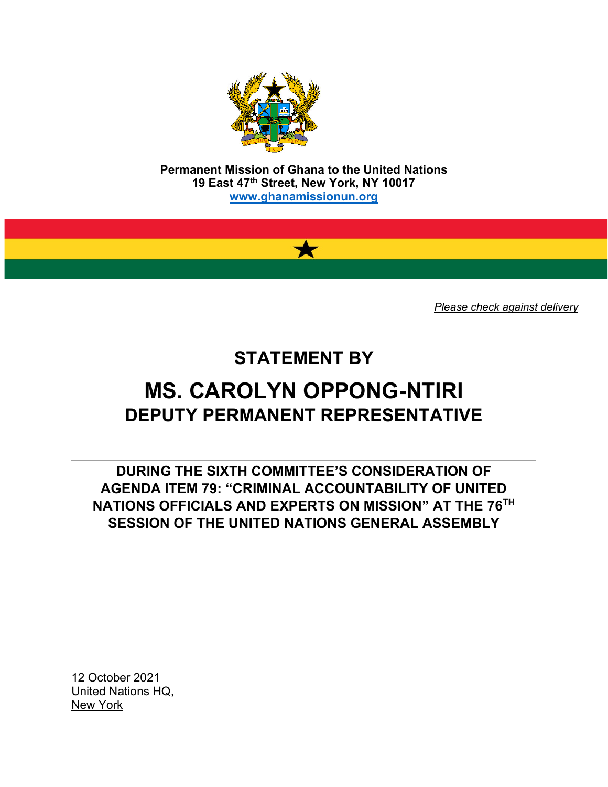

**Permanent Mission of Ghana to the United Nations 19 East 47th Street, New York, NY 10017 [www.ghanamissionun.org](http://www.ghanamissionun.org/)**

 $\bigstar$ 

*Please check against delivery*

## **STATEMENT BY**

# **MS. CAROLYN OPPONG-NTIRI DEPUTY PERMANENT REPRESENTATIVE**

**DURING THE SIXTH COMMITTEE'S CONSIDERATION OF AGENDA ITEM 79: "CRIMINAL ACCOUNTABILITY OF UNITED NATIONS OFFICIALS AND EXPERTS ON MISSION" AT THE 76TH SESSION OF THE UNITED NATIONS GENERAL ASSEMBLY**

12 October 2021 United Nations HQ, New York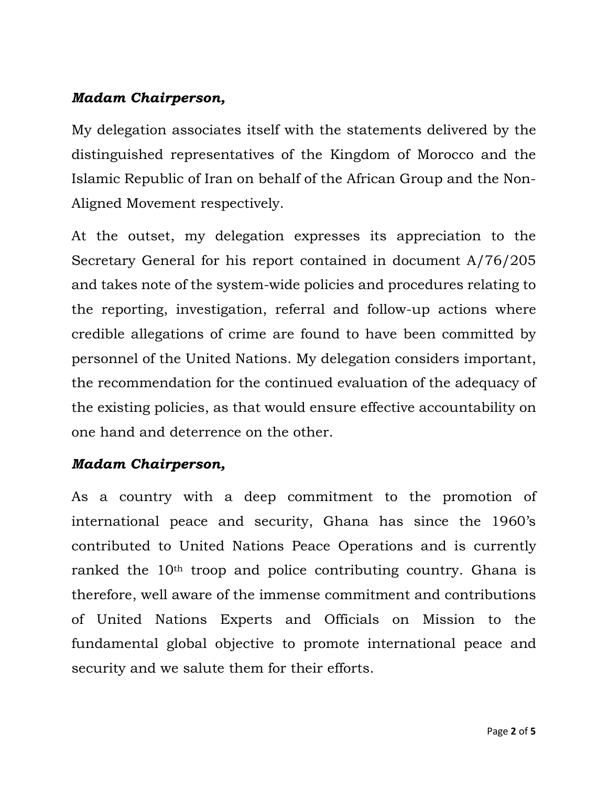#### *Madam Chairperson,*

My delegation associates itself with the statements delivered by the distinguished representatives of the Kingdom of Morocco and the Islamic Republic of Iran on behalf of the African Group and the Non-Aligned Movement respectively.

At the outset, my delegation expresses its appreciation to the Secretary General for his report contained in document A/76/205 and takes note of the system-wide policies and procedures relating to the reporting, investigation, referral and follow-up actions where credible allegations of crime are found to have been committed by personnel of the United Nations. My delegation considers important, the recommendation for the continued evaluation of the adequacy of the existing policies, as that would ensure effective accountability on one hand and deterrence on the other.

#### *Madam Chairperson,*

As a country with a deep commitment to the promotion of international peace and security, Ghana has since the 1960's contributed to United Nations Peace Operations and is currently ranked the 10<sup>th</sup> troop and police contributing country. Ghana is therefore, well aware of the immense commitment and contributions of United Nations Experts and Officials on Mission to the fundamental global objective to promote international peace and security and we salute them for their efforts.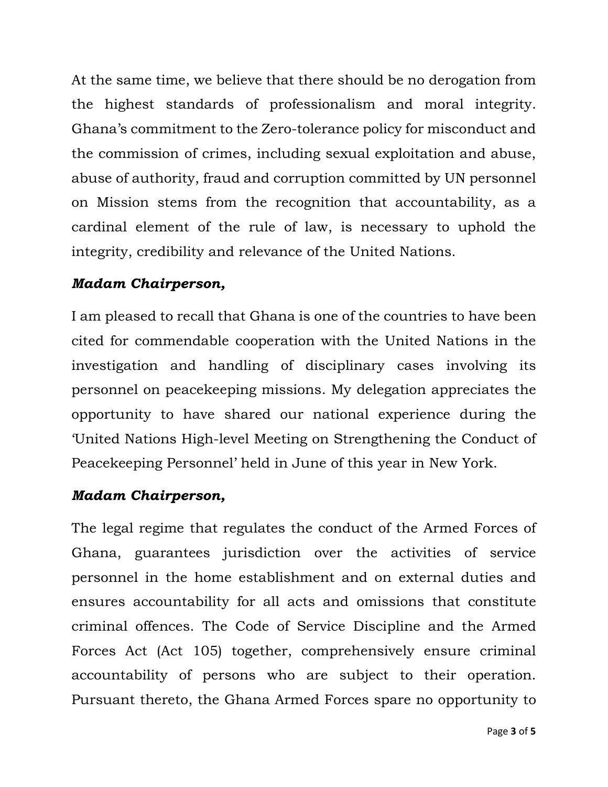At the same time, we believe that there should be no derogation from the highest standards of professionalism and moral integrity. Ghana's commitment to the Zero-tolerance policy for misconduct and the commission of crimes, including sexual exploitation and abuse, abuse of authority, fraud and corruption committed by UN personnel on Mission stems from the recognition that accountability, as a cardinal element of the rule of law, is necessary to uphold the integrity, credibility and relevance of the United Nations.

#### *Madam Chairperson,*

I am pleased to recall that Ghana is one of the countries to have been cited for commendable cooperation with the United Nations in the investigation and handling of disciplinary cases involving its personnel on peacekeeping missions. My delegation appreciates the opportunity to have shared our national experience during the 'United Nations High-level Meeting on Strengthening the Conduct of Peacekeeping Personnel' held in June of this year in New York.

#### *Madam Chairperson,*

The legal regime that regulates the conduct of the Armed Forces of Ghana, guarantees jurisdiction over the activities of service personnel in the home establishment and on external duties and ensures accountability for all acts and omissions that constitute criminal offences. The Code of Service Discipline and the Armed Forces Act (Act 105) together, comprehensively ensure criminal accountability of persons who are subject to their operation. Pursuant thereto, the Ghana Armed Forces spare no opportunity to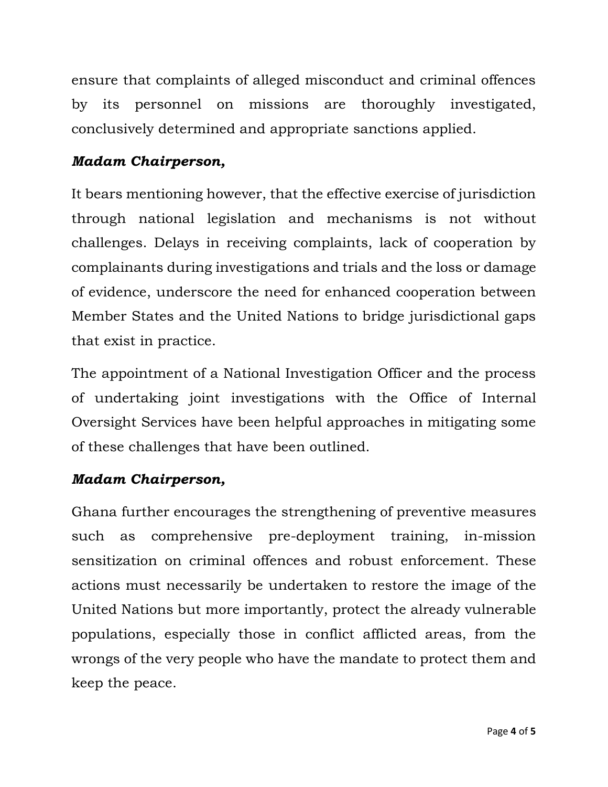ensure that complaints of alleged misconduct and criminal offences by its personnel on missions are thoroughly investigated, conclusively determined and appropriate sanctions applied.

#### *Madam Chairperson,*

It bears mentioning however, that the effective exercise of jurisdiction through national legislation and mechanisms is not without challenges. Delays in receiving complaints, lack of cooperation by complainants during investigations and trials and the loss or damage of evidence, underscore the need for enhanced cooperation between Member States and the United Nations to bridge jurisdictional gaps that exist in practice.

The appointment of a National Investigation Officer and the process of undertaking joint investigations with the Office of Internal Oversight Services have been helpful approaches in mitigating some of these challenges that have been outlined.

#### *Madam Chairperson,*

Ghana further encourages the strengthening of preventive measures such as comprehensive pre-deployment training, in-mission sensitization on criminal offences and robust enforcement. These actions must necessarily be undertaken to restore the image of the United Nations but more importantly, protect the already vulnerable populations, especially those in conflict afflicted areas, from the wrongs of the very people who have the mandate to protect them and keep the peace.